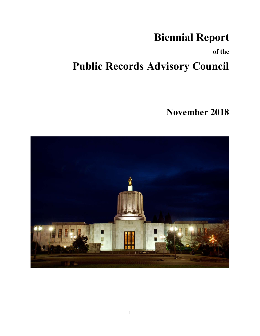# Biennial Report

of the

# Public Records Advisory Council

# November 2018

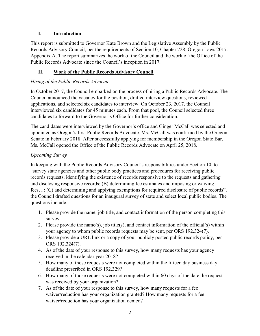# I. Introduction

This report is submitted to Governor Kate Brown and the Legislative Assembly by the Public Records Advisory Council, per the requirements of Section 10, Chapter 728, Oregon Laws 2017. Appendix A. The report summarizes the work of the Council and the work of the Office of the Public Records Advocate since the Council's inception in 2017.

# II. Work of the Public Records Advisory Council

# Hiring of the Public Records Advocate

In October 2017, the Council embarked on the process of hiring a Public Records Advocate. The Council announced the vacancy for the position, drafted interview questions, reviewed applications, and selected six candidates to interview. On October 23, 2017, the Council interviewed six candidates for 45 minutes each. From that pool, the Council selected three candidates to forward to the Governor's Office for further consideration.

The candidates were interviewed by the Governor's office and Ginger McCall was selected and appointed as Oregon's first Public Records Advocate. Ms. McCall was confirmed by the Oregon Senate in February 2018. After successfully applying for membership in the Oregon State Bar, Ms. McCall opened the Office of the Public Records Advocate on April 25, 2018.

# Upcoming Survey

In keeping with the Public Records Advisory Council's responsibilities under Section 10, to "survey state agencies and other public body practices and procedures for receiving public records requests, identifying the existence of records responsive to the requests and gathering and disclosing responsive records; (B) determining fee estimates and imposing or waiving fees…; (C) and determining and applying exemptions for required disclosure of public records", the Council drafted questions for an inaugural survey of state and select local public bodies. The questions include:

- 1. Please provide the name, job title, and contact information of the person completing this survey.
- 2. Please provide the name(s), job title(s), and contact information of the official(s) within your agency to whom public records requests may be sent, per ORS 192.324(7).
- 3. Please provide a URL link or a copy of your publicly posted public records policy, per ORS 192.324(7).
- 4. As of the date of your response to this survey, how many requests has your agency received in the calendar year 2018?
- 5. How many of those requests were not completed within the fifteen day business day deadline prescribed in ORS 192.329?
- 6. How many of those requests were not completed within 60 days of the date the request was received by your organization?
- 7. As of the date of your response to this survey, how many requests for a fee waiver/reduction has your organization granted? How many requests for a fee waiver/reduction has your organization denied?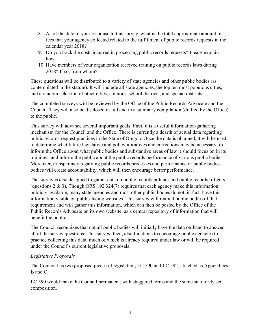- 8. As of the date of your response to this survey, what is the total approximate amount of fees that your agency collected related to the fulfillment of public records requests in the calendar year 2018?
- 9. Do you track the costs incurred in processing public records requests? Please explain how.
- 10. Have members of your organization received training on public records laws during 2018? If so, from whom?

These questions will be distributed to a variety of state agencies and other public bodies (as contemplated in the statute). It will include all state agencies, the top ten most populous cities, and a random selection of other cities, counties, school districts, and special districts.

The completed surveys will be reviewed by the Office of the Public Records Advocate and the Council. They will also be disclosed in full and in a summary compilation (drafted by the Office) to the public.

This survey will advance several important goals. First, it is a useful information-gathering mechanism for the Council and the Office. There is currently a dearth of actual data regarding public records request practices in the State of Oregon. Once the data is obtained, it will be used to determine what future legislative and policy initiatives and corrections may be necessary, to inform the Office about what public bodies and substantive areas of law it should focus on in its trainings, and inform the public about the public records performance of various public bodies. Moreover, transparency regarding public records processes and performance of public bodies bodies will create accountability, which will then encourage better performance.

The survey is also designed to gather data on public records policies and public records officers (questions  $2 \& 3$ ). Though ORS 192.324(7) requires that each agency make this information publicly available, many state agencies and most other public bodies do not, in fact, have this information visible on public-facing websites. This survey will remind public bodies of that requirement and will gather this information, which can then be posted by the Office of the Public Records Advocate on its own website, as a central repository of information that will benefit the public.

The Council recognizes that not all public bodies will initially have the data on-hand to answer all of the survey questions. This survey, then, also functions to encourage public agencies to practice collecting this data, much of which is already required under law or will be required under the Council's current legislative proposals.

#### Legislative Proposals

The Council has two proposed pieces of legislation, LC 590 and LC 592, attached as Appendices B and C.

LC 590 would make the Council permanent, with staggered terms and the same statutorily set composition.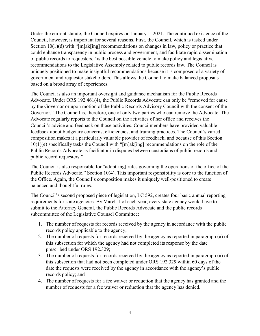Under the current statute, the Council expires on January 1, 2021. The continued existence of the Council, however, is important for several reasons. First, the Council, which is tasked under Section 10(1)(d) with "[m]ak[ing] recommendations on changes in law, policy or practice that could enhance transparency in public process and government, and facilitate rapid dissemination of public records to requesters," is the best possible vehicle to make policy and legislative recommendations to the Legislative Assembly related to public records law. The Council is uniquely positioned to make insightful recommendations because it is composed of a variety of government and requester stakeholders. This allows the Council to make balanced proposals based on a broad array of experiences.

The Council is also an important oversight and guidance mechanism for the Public Records Advocate. Under ORS 192.461(4), the Public Records Advocate can only be "removed for cause by the Governor or upon motion of the Public Records Advisory Council with the consent of the Governor." The Council is, therefore, one of only two parties who can remove the Advocate. The Advocate regularly reports to the Council on the activities of her office and receives the Council's advice and feedback on those activities. Councilmembers have provided valuable feedback about budgetary concerns, efficiencies, and training practices. The Council's varied composition makes it a particularly valuable provider of feedback, and because of this Section 10(1)(e) specifically tasks the Council with "[m]ak[ing] recommendations on the role of the Public Records Advocate as facilitator in disputes between custodians of public records and public record requesters."

The Council is also responsible for "adopt[ing] rules governing the operations of the office of the Public Records Advocate." Section 10(4). This important responsibility is core to the function of the Office. Again, the Council's composition makes it uniquely well-positioned to create balanced and thoughtful rules.

The Council's second proposed piece of legislation, LC 592, creates four basic annual reporting requirements for state agencies. By March 1 of each year, every state agency would have to submit to the Attorney General, the Public Records Advocate and the public records subcommittee of the Legislative Counsel Committee:

- 1. The number of requests for records received by the agency in accordance with the public records policy applicable to the agency;
- 2. The number of requests for records received by the agency as reported in paragraph (a) of this subsection for which the agency had not completed its response by the date prescribed under ORS 192.329;
- 3. The number of requests for records received by the agency as reported in paragraph (a) of this subsection that had not been completed under ORS 192.329 within 60 days of the date the requests were received by the agency in accordance with the agency's public records policy; and
- 4. The number of requests for a fee waiver or reduction that the agency has granted and the number of requests for a fee waiver or reduction that the agency has denied.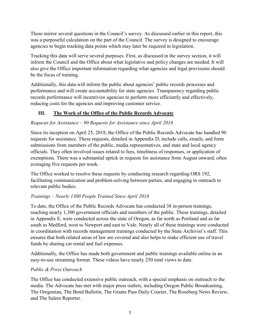These mirror several questions in the Council's survey. As discussed earlier in this report, this was a purposeful calculation on the part of the Council. The survey is designed to encourage agencies to begin tracking data points which may later be required in legislation.

Tracking this data will serve several purposes. First, as discussed in the survey section, it will inform the Council and the Office about what legislative and policy changes are needed. It will also give the Office important information regarding what agencies and legal provisions should be the focus of training.

Additionally, this data will inform the public about agencies' public records processes and performance and will create accountability for state agencies. Transparency regarding public records performance will incentivize agencies to perform more efficiently and effectively, reducing costs for the agencies and improving customer service.

# III. The Work of the Office of the Public Records Advocate

# Requests for Assistance – 90 Requests for Assistance since April 2018

Since its inception on April 25, 2018, the Office of the Public Records Advocate has handled 90 requests for assistance. These requests, detailed in Appendix D, include calls, emails, and form submissions from members of the public, media representatives, and state and local agency officials. They often involved issues related to fees, timeliness of responses, or application of exemptions. There was a substantial uptick in requests for assistance from August onward, often averaging five requests per week.

The Office worked to resolve these requests by conducting research regarding ORS 192, facilitating communication and problem-solving between parties, and engaging in outreach to relevant public bodies.

# Trainings – Nearly 1300 People Trained Since April 2018

To date, the Office of the Public Records Advocate has conducted 38 in-person trainings, reaching nearly 1,300 government officials and members of the public. These trainings, detailed in Appendix E, were conducted across the state of Oregon, as far north as Portland and as far south as Medford, west to Newport and east to Vale. Nearly all of these trainings were conducted in coordination with records management trainings conducted by the State Archivist's staff. This ensures that both related areas of law are covered and also helps to make efficient use of travel funds by sharing car rental and fuel expenses.

Additionally, the Office has made both government and public trainings available online in an easy-to-use streaming format. These videos have nearly 250 total views to date.

# Public & Press Outreach

The Office has conducted extensive public outreach, with a special emphasis on outreach to the media. The Advocate has met with major press outlets, including Oregon Public Broadcasting, The Oregonian, The Bend Bulletin, The Grants Pass Daily Courier, The Roseburg News Review, and The Salem Reporter.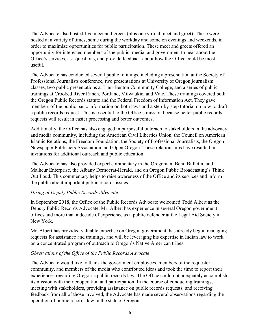The Advocate also hosted five meet and greets (plus one virtual meet and greet). These were hosted at a variety of times, some during the workday and some on evenings and weekends, in order to maximize opportunities for public participation. These meet and greets offered an opportunity for interested members of the public, media, and government to hear about the Office's services, ask questions, and provide feedback about how the Office could be most useful.

The Advocate has conducted several public trainings, including a presentation at the Society of Professional Journalists conference, two presentations at University of Oregon journalism classes, two public presentations at Linn-Benton Community College, and a series of public trainings at Crooked River Ranch, Portland, Milwaukie, and Vale. These trainings covered both the Oregon Public Records statute and the Federal Freedom of Information Act. They gave members of the public basic information on both laws and a step-by-step tutorial on how to draft a public records request. This is essential to the Office's mission because better public records requests will result in easier processing and better outcomes.

Additionally, the Office has also engaged in purposeful outreach to stakeholders in the advocacy and media community, including the American Civil Liberties Union, the Council on American Islamic Relations, the Freedom Foundation, the Society of Professional Journalists, the Oregon Newspaper Publishers Association, and Open Oregon. These relationships have resulted in invitations for additional outreach and public education.

The Advocate has also provided expert commentary in the Oregonian, Bend Bulletin, and Malheur Enterprise, the Albany Democrat-Herald, and on Oregon Public Broadcasting's Think Out Loud. This commentary helps to raise awareness of the Office and its services and inform the public about important public records issues.

#### Hiring of Deputy Public Records Advocate

In September 2018, the Office of the Public Records Advocate welcomed Todd Albert as the Deputy Public Records Advocate. Mr. Albert has experience in several Oregon government offices and more than a decade of experience as a public defender at the Legal Aid Society in New York.

Mr. Albert has provided valuable expertise on Oregon government, has already begun managing requests for assistance and trainings, and will be leveraging his expertise in Indian law to work on a concentrated program of outreach to Oregon's Native American tribes.

#### Observations of the Office of the Public Records Advocate

The Advocate would like to thank the government employees, members of the requester community, and members of the media who contributed ideas and took the time to report their experiences regarding Oregon's public records law. The Office could not adequately accomplish its mission with their cooperation and participation. In the course of conducting trainings, meeting with stakeholders, providing assistance on public records requests, and receiving feedback from all of those involved, the Advocate has made several observations regarding the operation of public records law in the state of Oregon.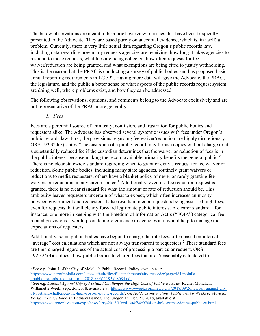The below observations are meant to be a brief overview of issues that have been frequently presented to the Advocate. They are based purely on anecdotal evidence, which is, in itself, a problem. Currently, there is very little actual data regarding Oregon's public records law, including data regarding how many requests agencies are receiving, how long it takes agencies to respond to those requests, what fees are being collected, how often requests for fee waiver/reduction are being granted, and what exemptions are being cited to justify withholding. This is the reason that the PRAC is conducting a survey of public bodies and has proposed basic annual reporting requirements in LC 592. Having more data will give the Advocate, the PRAC, the legislature, and the public a better sense of what aspects of the public records request system are doing well, where problems exist, and how they can be addressed.

The following observations, opinions, and comments belong to the Advocate exclusively and are not representative of the PRAC more generally.

1. Fees

 $\overline{a}$ 

Fees are a perennial source of animosity, confusion, and frustration for public bodies and requesters alike. The Advocate has observed several systemic issues with fees under Oregon's public records law. First, the provisions regarding fee waiver/reduction are highly discretionary. ORS 192.324(5) states "The custodian of a public record may furnish copies without charge or at a substantially reduced fee if the custodian determines that the waiver or reduction of fees is in the public interest because making the record available primarily benefits the general public." There is no clear statewide standard regarding when to grant or deny a request for fee waiver or reduction. Some public bodies, including many state agencies, routinely grant waivers or reductions to media requesters; others have a blanket policy of never or rarely granting fee waivers or reductions in any circumstance.<sup>1</sup> Additionally, even if a fee reduction request is granted, there is no clear standard for what the amount or rate of reduction should be. This ambiguity leaves requesters uncertain of what to expect, which often increases animosity between government and requester. It also results in media requesters being assessed high fees, even for requests that will clearly forward legitimate public interests. A clearer standard – for instance, one more in keeping with the Freedom of Information Act's ("FOIA") categorical feerelated provisions – would provide more guidance to agencies and would help to manage the expectations of requesters.

Additionally, some public bodies have begun to charge flat rate fees, often based on internal "average" cost calculations which are not always transparent to requesters.<sup>2</sup> These standard fees are then charged regardless of the actual cost of processing a particular request. ORS 192.324(4)(a) does allow public bodies to charge fees that are "reasonably calculated to

<sup>&</sup>lt;sup>1</sup> See e.g. Point 4 of the City of Molalla's Public Records Policy, available at:

https://www.cityofmolalla.com/sites/default/files/fileattachments/city\_recorder/page/484/molalla\_public records request form 2018 00611195xb8084.pdf.

<sup>&</sup>lt;sup>2</sup> See e.g. Lawsuit Against City of Portland Challenges the High Cost of Public Records, Rachel Monahan, Willamette Week, Sept. 26, 2018, available at: https://www.wweek.com/news/city/2018/09/26/lawsuit-against-cityof-portland-challenges-the-high-cost-of-public-records/; On Hold: Crime Victims, Public Wait 6 Weeks or More for Portland Police Reports, Bethany Barnes, The Oregonian, Oct. 21, 2018, available at: https://www.oregonlive.com/expo/news/erry-2018/10/cd13a8f84c9704/on-hold-crime-victims-public-w.html.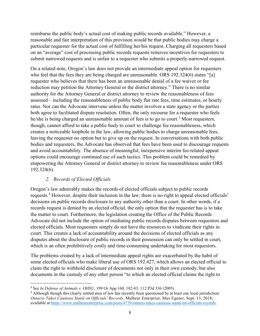reimburse the public body's actual cost of making public records available." However, a reasonable and fair interpretation of this provision would be that public bodies may charge a particular requester for the actual cost of fulfilling her/his request. Charging all requesters based on an "average" cost of processing public records requests removes incentives for requesters to submit narrowed requests and is unfair to a requester who submits a properly-narrowed request.

On a related note, Oregon's law does not provide an intermediate appeal option for requesters who feel that the fees they are being charged are unreasonable. ORS 192.324(6) states "[a] requester who believes that there has been an unreasonable denial of a fee waiver or fee reduction may petition the Attorney General or the district attorney." There is no similar authority for the Attorney General or district attorney to review the reasonableness of fees assessed – including the reasonableness of public body flat rate fees, time estimates, or hourly rates. Nor can the Advocate intervene unless the matter involves a state agency or the parties both agree to facilitated dispute resolution. Often, the only recourse for a requester who feels he/she is being charged an unreasonable amount of fees is to go to court.<sup>3</sup> Most requesters, though, cannot afford to take a public body to court to challenge fee reasonableness, which creates a noticeable loophole in the law, allowing public bodies to charge unreasonable fees, leaving the requester no option but to give up on the request. In conversations with both public bodies and requesters, the Advocate has observed that fees have been used to discourage requests and avoid accountability. The absence of meaningful, inexpensive interim fee-related appeal options could encourage continued use of such tactics. This problem could be remedied by empowering the Attorney General or district attorney to review fee reasonableness under ORS 192.324(6).

#### 2. Records of Elected Officials

Oregon's law admirably makes the records of elected officials subject to public records requests.<sup>4</sup> However, despite their inclusion in the law, there is no right to appeal elected officials' decisions on public records disclosure to any authority other than a court. In other words, if a records request is denied by an elected official, the only option that the requester has is to take the matter to court. Furthermore, the legislation creating the Office of the Public Records Advocate did not include the option of mediating public records disputes between requestors and elected officials. Most requesters simply do not have the resources to vindicate their rights in court. This creates a lack of accountability around the decisions of elected officials as any disputes about the disclosure of public records in their possession can only be settled in court, which is an often prohibitively costly and time-consuming undertaking for most requestors.

The problems created by a lack of intermediate appeal rights are exacerbated by the habit of some elected officials who make liberal use of ORS 192.427, which allows an elected official to claim the right to withhold disclosure of documents not only in their own custody, but also documents in the custody of any other person "to which an elected official claims the right to

<sup>&</sup>lt;sup>3</sup> See In Defense of Animals v. OHSU, 199 Or App 160, 182-83, 112 P3d 336 (2005).

<sup>&</sup>lt;sup>4</sup> Although though this clearly settled area of law has recently been questioned by at least one local jurisdiction: Ontario Takes Cautious Stand on Officials' Records, Malheur Enterprise, Max Egener, Sept. 13, 2018; available at https://www.malheurenterprise.com/posts/4739/ontario-takes-cautious-stand-on-officials-records.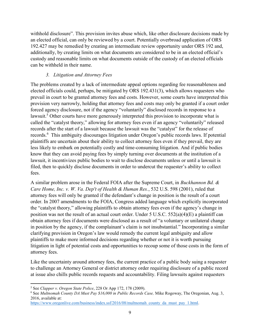withhold disclosure". This provision invites abuse which, like other disclosure decisions made by an elected official, can only be reviewed by a court. Potentially overbroad application of ORS 192.427 may be remedied by creating an intermediate review opportunity under ORS 192 and, additionally, by creating limits on what documents are considered to be in an elected official's custody and reasonable limits on what documents outside of the custody of an elected officials can be withheld in their name.

# 3. Litigation and Attorney Fees

The problems created by a lack of intermediate appeal options regarding fee reasonableness and elected officials could, perhaps, be mitigated by ORS 192.431(3), which allows requesters who prevail in court to be granted attorney fees and costs. However, some courts have interpreted this provision very narrowly, holding that attorney fees and costs may only be granted if a court order forced agency disclosure, not if the agency "voluntarily" disclosed records in response to a lawsuit.<sup>5</sup> Other courts have more generously interpreted this provision to incorporate what is called the "catalyst theory," allowing for attorney fees even if an agency "voluntarily" released records after the start of a lawsuit because the lawsuit was the "catalyst" for the release of records.<sup>6</sup> This ambiguity discourages litigation under Oregon's public records laws. If potential plaintiffs are uncertain about their ability to collect attorney fees even if they prevail, they are less likely to embark on potentially costly and time-consuming litigation. And if public bodies know that they can avoid paying fees by simply turning over documents at the institution of a lawsuit, it incentivizes public bodies to wait to disclose documents unless or until a lawsuit is filed, then to quickly disclose documents in order to undercut the requester's ability to collect fees.

A similar problem arose in the Federal FOIA after the Supreme Court, in Buckhannon Bd. & Care Home, Inc. v. W. Va. Dep't of Health & Human Res., 532 U.S. 598 (2001), ruled that attorney fees will only be granted if the defendant's change in position is the result of a court order. In 2007 amendments to the FOIA, Congress added language which explicitly incorporated the "catalyst theory," allowing plaintiffs to obtain attorney fees even if the agency's change in position was not the result of an actual court order. Under 5 U.S.C. 552(a)(4)(E) a plaintiff can obtain attorney fees if documents were disclosed as a result of "a voluntary or unilateral change in position by the agency, if the complainant's claim is not insubstantial." Incorporating a similar clarifying provision in Oregon's law would remedy the current legal ambiguity and allow plaintiffs to make more informed decisions regarding whether or not it is worth pursuing litigation in light of potential costs and opportunities to recoup some of those costs in the form of attorney fees.

Like the uncertainty around attorney fees, the current practice of a public body suing a requester to challenge an Attorney General or district attorney order requiring disclosure of a public record at issue also chills public records requests and accountability. Filing lawsuits against requesters

 <sup>5</sup> See Clapper v. Oregon State Police, 228 Or App 172, 178 (2009).

<sup>&</sup>lt;sup>6</sup> See Multnomah County DA Must Pay \$16,000 in Public Records Case, Mike Rogoway, The Oregonian, Aug. 3, 2016, available at:

https://www.oregonlive.com/business/index.ssf/2016/08/multnomah\_county\_da\_must\_pay\_1.html.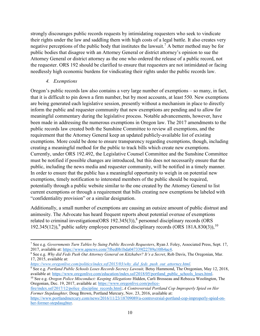strongly discourages public records requests by intimidating requesters who seek to vindicate their rights under the law and saddling them with high costs of a legal battle. It also creates very negative perceptions of the public body that institutes the lawsuit.<sup>7</sup> A better method may be for public bodies that disagree with an Attorney General or district attorney's opinion to sue the Attorney General or district attorney as the one who ordered the release of a public record, not the requester. ORS 192 should be clarified to ensure that requesters are not intimidated or facing needlessly high economic burdens for vindicating their rights under the public records law.

#### 4. Exemptions

Oregon's public records law also contains a very large number of exemptions – so many, in fact, that it is difficult to pin down a firm number, but by most accounts, at least 550. New exemptions are being generated each legislative session, presently without a mechanism in place to directly inform the public and requester community that new exemptions are pending and to allow for meaningful commentary during the legislative process. Notable advancements, however, have been made in addressing the numerous exemptions in Oregon law. The 2017 amendments to the public records law created both the Sunshine Committee to review all exemptions, and the requirement that the Attorney General keep an updated publicly-available list of existing exemptions. More could be done to ensure transparency regarding exemptions, though, including creating a meaningful method for the public to track bills which create new exemptions. Currently, under ORS 192.492, the Legislative Counsel Committee and the Sunshine Committee must be notified if possible changes are introduced, but this does not necessarily ensure that the public, including the news media and requester community, will be notified in a timely manner. In order to ensure that the public has a meaningful opportunity to weigh in on potential new exemptions, timely notification to interested members of the public should be required, potentially through a public website similar to the one created by the Attorney General to list current exemptions or through a requirement that bills creating new exemptions be labeled with "confidentiality provision" or a similar designation.

Additionally, a small number of exemptions are causing an outsize amount of public distrust and animosity. The Advocate has heard frequent reports about potential overuse of exemptions related to criminal investigations  $(ORS 192.345(3))$ ,<sup>8</sup> personnel disciplinary records  $(ORS 192.345(3))$ 192.345(12)),<sup>9</sup> public safety employee personnel disciplinary records (ORS 181A.830(3)),<sup>10</sup>

fire/index.ssf/2017/12/police\_discipline\_records.html; A Controversial Portland Cop Improperly Spied on Her Former Stepdaughter, Doug Brown, Portland Mercury, Nov. 23, 2016, available at: https://www.portlandmercury.com/news/2016/11/23/18709089/a-controversial-portland-cop-improperly-spied-on-

her-former-stepdaughter.

<sup>&</sup>lt;sup>7</sup> See e.g. Governments Turn Tables by Suing Public Records Requesters, Ryan J. Foley, Associated Press, Sept. 17, 2017, available at: https://www.apnews.com/7f6ed0b1bda047339f22789a10f64ac4.

<sup>&</sup>lt;sup>8</sup> See e.g. Why did Feds Push Out Attorney General on Kitzhaber? It's a Secret, Rob Davis, The Oregonian, Mar. 17, 2015, available at:

https://www.oregonlive.com/politics/index.ssf/2015/03/why\_did\_feds\_push\_out\_attorney.html.

<sup>&</sup>lt;sup>9</sup> See e.g. Portland Public Schools Loses Records Secrecy Lawsuit, Betsy Hammond, The Oregonian, May 12, 2018, available at: https://www.oregonlive.com/education/index.ssf/2018/05/portland\_public\_schools\_loses.html.

<sup>&</sup>lt;sup>10</sup> See e.g. *Oregon Police Misconduct: Keeping Allegations* Hidden, Carli Brosseau and Rebecca Woolington, The Oregonian, Dec. 19, 2017, available at: https://www.oregonlive.com/police-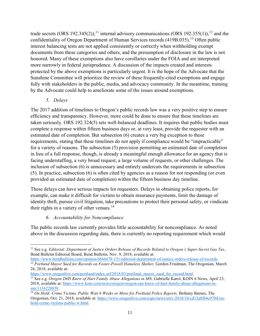trade secrets (ORS 192.345(2)),<sup>11</sup> internal advisory communications (ORS 192.355(1)),<sup>12</sup> and the confidentiality of Oregon Department of Human Services records (419B.035).<sup>13</sup> Often public interest balancing tests are not applied consistently or correctly when withholding exempt documents from these categories and others, and the presumption of disclosure in the law is not honored. Many of these exemptions also have corollaries under the FOIA and are interpreted more narrowly in federal jurisprudence. A discussion of the impacts created and interests protected by the above exemptions is particularly urgent. It is the hope of the Advocate that the Sunshine Committee will prioritize the review of these frequently-cited exemptions and engage fully with stakeholders in the public, media, and advocacy community. In the meantime, training by the Advocate could help to ameliorate some of the issues around exemptions.

#### 5. Delays

The 2017 addition of timelines to Oregon's public records law was a very positive step to ensure efficiency and transparency. However, more could be done to ensure that these timelines are taken seriously. ORS 192.324(5) sets well-balanced deadlines. It requires that public bodies must complete a response within fifteen business days or, at very least, provide the requester with an estimated date of completion. But subsection (6) creates a very big exception to these requirements, stating that these timelines do not apply if compliance would be "impracticable" for a variety of reasons. The subsection (5) provision permitting an estimated date of completion in lieu of a full response, though, is already a meaningful enough allowance for an agency that is facing understaffing, a very broad request, a large volume of requests, or other challenges. The inclusion of subsection (6) is unnecessary and entirely undercuts the requirements in subsection (5). In practice, subsection (6) is often cited by agencies as a reason for not responding (or even provided an estimated date of completion) within the fifteen business day timeline.

These delays can have serious impacts for requesters. Delays in obtaining police reports, for example, can make it difficult for victims to obtain insurance payments, limit the damage of identity theft, pursue civil litigation, take precautions to protect their personal safety, or vindicate their rights in a variety of other venues. $14$ 

# 6. Accountability for Noncompliance

The public records law currently provides little accountability for noncompliance. As noted above in the discussion regarding data, there is currently no reporting requirement which would

https://www.bendbulletin.com/opinion/6666678-151/editorial-department-of-justice-orders-release-of-records. <sup>12</sup> Portland Mayor Sued for Records on Foster-Powell Homeless Shelter, Gordon Friedman, The Oregonian, March 26, 2018, available at:

 $\overline{a}$  $11$  See e.g. Editorial: Department of Justice Orders Release of Records Related to Oregon's Super-Secret Gas Tax, Bend Bulletin Editorial Board, Bend Bulletin, Nov. 9, 2018, available at:

https://www.oregonlive.com/portland/index.ssf/2018/03/portland\_mayor\_sued\_for\_record.html. <sup>13</sup> See e.g. *Oregon DHS Knew of Hart Family Abuse Allegations in MN*, Gabrielle Karol, KOIN 6 News, April 23, 2018, available at: https://www.koin.com/news/oregon/oregon-cps-knew-of-hart-family-abuse-allegations-inmn/1136220858.

<sup>&</sup>lt;sup>14</sup> On Hold: Crime Victims, Public Wait 6 Weeks or More for Portland Police Reports, Bethany Barnes, The Oregonian, Oct. 21, 2018, available at: https://www.oregonlive.com/expo/news/erry-2018/10/cd13a8f84c9704/onhold-crime-victims-public-w.html.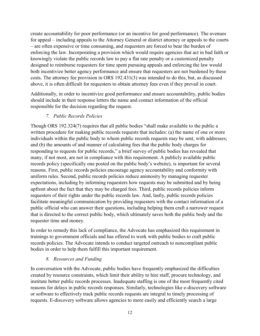create accountability for poor performance (or an incentive for good performance). The avenues for appeal – including appeals to the Attorney General or district attorney or appeals to the courts – are often expensive or time consuming, and requesters are forced to bear the burden of enforcing the law. Incorporating a provision which would require agencies that act in bad faith or knowingly violate the public records law to pay a flat rate penalty or a customized penalty designed to reimburse requesters for time spent pursuing appeals and enforcing the law would both incentivize better agency performance and ensure that requesters are not burdened by these costs. The attorney fee provision in ORS 192.431(3) was intended to do this, but, as discussed above, it is often difficult for requesters to obtain attorney fees even if they prevail in court.

Additionally, in order to incentivize good performance and ensure accountability, public bodies should include in their response letters the name and contact information of the official responsible for the decision regarding the request.

# 7. Public Records Policies

Though ORS 192.324(7) requires that all public bodies "shall make available to the public a written procedure for making public records requests that includes: (a) the name of one or more individuals within the public body to whom public records requests may be sent, with addresses; and (b) the amounts of and manner of calculating fees that the public body charges for responding to requests for public records," a brief survey of public bodies has revealed that many, if not most, are not in compliance with this requirement. A publicly available public records policy (specifically one posted on the public body's website), is important for several reasons. First, public records policies encourage agency accountability and conformity with uniform rules. Second, public records policies reduce animosity by managing requester expectations, including by informing requesters how requests may be submitted and by being upfront about the fact that they may be charged fees. Third, public records policies inform requesters of their rights under the public records law. And, lastly, public records policies facilitate meaningful communication by providing requesters with the contact information of a public official who can answer their questions, including helping them craft a narrower request that is directed to the correct public body, which ultimately saves both the public body and the requester time and money.

In order to remedy this lack of compliance, the Advocate has emphasized this requirement in trainings to government officials and has offered to work with public bodies to craft public records policies. The Advocate intends to conduct targeted outreach to noncompliant public bodies in order to help them fulfill this important requirement.

#### 8. Resources and Funding

In conversation with the Advocate, public bodies have frequently emphasized the difficulties created by resource constraints, which limit their ability to hire staff, procure technology, and institute better public records processes. Inadequate staffing is one of the most frequently cited reasons for delays in public records responses. Similarly, technologies like e-discovery software or software to effectively track public records requests are integral to timely processing of requests. E-discovery software allows agencies to more easily and efficiently search a large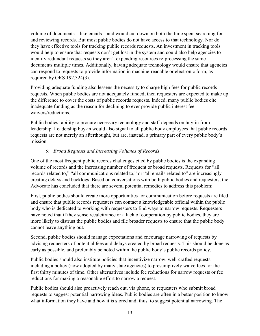volume of documents – like emails – and would cut down on both the time spent searching for and reviewing records. But most public bodies do not have access to that technology. Nor do they have effective tools for tracking public records requests. An investment in tracking tools would help to ensure that requests don't get lost in the system and could also help agencies to identify redundant requests so they aren't expending resources re-processing the same documents multiple times. Additionally, having adequate technology would ensure that agencies can respond to requests to provide information in machine-readable or electronic form, as required by ORS 192.324(3).

Providing adequate funding also lessens the necessity to charge high fees for public records requests. When public bodies are not adequately funded, then requesters are expected to make up the difference to cover the costs of public records requests. Indeed, many public bodies cite inadequate funding as the reason for declining to ever provide public interest fee waivers/reductions.

Public bodies' ability to procure necessary technology and staff depends on buy-in from leadership. Leadership buy-in would also signal to all public body employees that public records requests are not merely an afterthought, but are, instead, a primary part of every public body's mission.

# 9. Broad Requests and Increasing Volumes of Records

One of the most frequent public records challenges cited by public bodies is the expanding volume of records and the increasing number of frequent or broad requests. Requests for "all records related to," "all communications related to," or "all emails related to" are increasingly creating delays and backlogs. Based on conversations with both public bodies and requesters, the Advocate has concluded that there are several potential remedies to address this problem:

First, public bodies should create more opportunities for communication before requests are filed and ensure that public records requesters can contact a knowledgeable official within the public body who is dedicated to working with requesters to find ways to narrow requests. Requesters have noted that if they sense recalcitrance or a lack of cooperation by public bodies, they are more likely to distrust the public bodies and file broader requests to ensure that the public body cannot leave anything out.

Second, public bodies should manage expectations and encourage narrowing of requests by advising requesters of potential fees and delays created by broad requests. This should be done as early as possible, and preferably be noted within the public body's public records policy.

Public bodies should also institute policies that incentivize narrow, well-crafted requests, including a policy (now adopted by many state agencies) to presumptively waive fees for the first thirty minutes of time. Other alternatives include fee reductions for narrow requests or fee reductions for making a reasonable effort to narrow a request.

Public bodies should also proactively reach out, via phone, to requesters who submit broad requests to suggest potential narrowing ideas. Public bodies are often in a better position to know what information they have and how it is stored and, thus, to suggest potential narrowing. The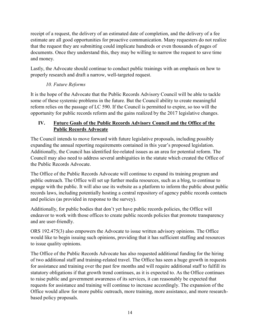receipt of a request, the delivery of an estimated date of completion, and the delivery of a fee estimate are all good opportunities for proactive communication. Many requesters do not realize that the request they are submitting could implicate hundreds or even thousands of pages of documents. Once they understand this, they may be willing to narrow the request to save time and money.

Lastly, the Advocate should continue to conduct public trainings with an emphasis on how to properly research and draft a narrow, well-targeted request.

# 10. Future Reforms

It is the hope of the Advocate that the Public Records Advisory Council will be able to tackle some of these systemic problems in the future. But the Council ability to create meaningful reform relies on the passage of LC 590. If the Council is permitted to expire, so too will the opportunity for public records reform and the gains realized by the 2017 legislative changes.

# IV. Future Goals of the Public Records Advisory Council and the Office of the Public Records Advocate

The Council intends to move forward with future legislative proposals, including possibly expanding the annual reporting requirements contained in this year's proposed legislation. Additionally, the Council has identified fee-related issues as an area for potential reform. The Council may also need to address several ambiguities in the statute which created the Office of the Public Records Advocate.

The Office of the Public Records Advocate will continue to expand its training program and public outreach. The Office will set up further media resources, such as a blog, to continue to engage with the public. It will also use its website as a platform to inform the public about public records laws, including potentially hosting a central repository of agency public records contacts and policies (as provided in response to the survey).

Additionally, for public bodies that don't yet have public records policies, the Office will endeavor to work with those offices to create public records policies that promote transparency and are user-friendly.

ORS 192.475(3) also empowers the Advocate to issue written advisory opinions. The Office would like to begin issuing such opinions, providing that it has sufficient staffing and resources to issue quality opinions.

The Office of the Public Records Advocate has also requested additional funding for the hiring of two additional staff and training-related travel. The Office has seen a huge growth in requests for assistance and training over the past few months and will require additional staff to fulfill its statutory obligations if that growth trend continues, as it is expected to. As the Office continues to raise public and government awareness of its services, it can reasonably be expected that requests for assistance and training will continue to increase accordingly. The expansion of the Office would allow for more public outreach, more training, more assistance, and more researchbased policy proposals.